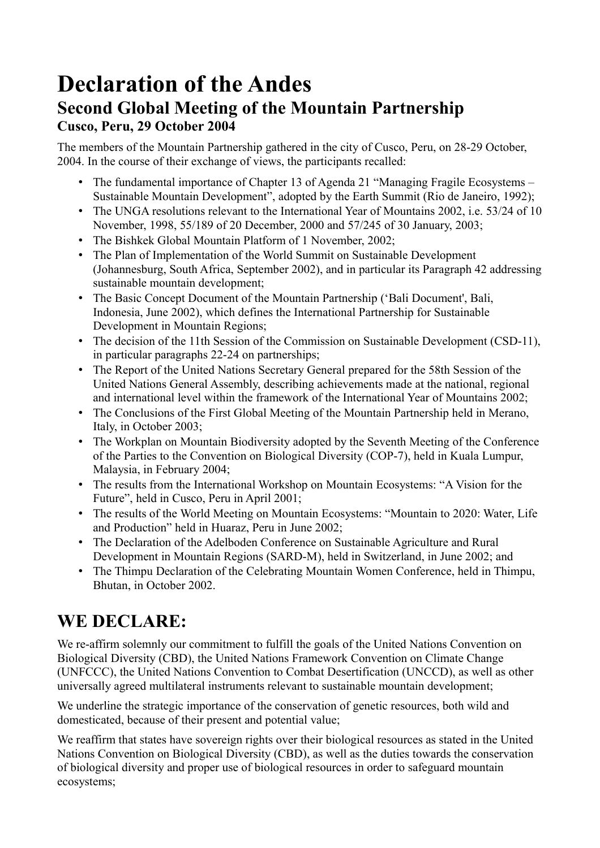## **Declaration of the Andes Second Global Meeting of the Mountain Partnership Cusco, Peru, 29 October 2004**

The members of the Mountain Partnership gathered in the city of Cusco, Peru, on 28-29 October, 2004. In the course of their exchange of views, the participants recalled:

- The fundamental importance of Chapter 13 of Agenda 21 "Managing Fragile Ecosystems Sustainable Mountain Development", adopted by the Earth Summit (Rio de Janeiro, 1992);
- The UNGA resolutions relevant to the International Year of Mountains 2002, i.e. 53/24 of 10 November, 1998, 55/189 of 20 December, 2000 and 57/245 of 30 January, 2003;
- The Bishkek Global Mountain Platform of 1 November, 2002;
- The Plan of Implementation of the World Summit on Sustainable Development (Johannesburg, South Africa, September 2002), and in particular its Paragraph 42 addressing sustainable mountain development;
- The Basic Concept Document of the Mountain Partnership ('Bali Document', Bali, Indonesia, June 2002), which defines the International Partnership for Sustainable Development in Mountain Regions;
- The decision of the 11th Session of the Commission on Sustainable Development (CSD-11), in particular paragraphs 22-24 on partnerships;
- The Report of the United Nations Secretary General prepared for the 58th Session of the United Nations General Assembly, describing achievements made at the national, regional and international level within the framework of the International Year of Mountains 2002;
- The Conclusions of the First Global Meeting of the Mountain Partnership held in Merano, Italy, in October 2003;
- The Workplan on Mountain Biodiversity adopted by the Seventh Meeting of the Conference of the Parties to the Convention on Biological Diversity (COP-7), held in Kuala Lumpur, Malaysia, in February 2004;
- The results from the International Workshop on Mountain Ecosystems: "A Vision for the Future", held in Cusco, Peru in April 2001;
- The results of the World Meeting on Mountain Ecosystems: "Mountain to 2020: Water, Life and Production" held in Huaraz, Peru in June 2002;
- The Declaration of the Adelboden Conference on Sustainable Agriculture and Rural Development in Mountain Regions (SARD-M), held in Switzerland, in June 2002; and
- The Thimpu Declaration of the Celebrating Mountain Women Conference, held in Thimpu, Bhutan, in October 2002.

## **WE DECLARE:**

We re-affirm solemnly our commitment to fulfill the goals of the United Nations Convention on Biological Diversity (CBD), the United Nations Framework Convention on Climate Change (UNFCCC), the United Nations Convention to Combat Desertification (UNCCD), as well as other universally agreed multilateral instruments relevant to sustainable mountain development;

We underline the strategic importance of the conservation of genetic resources, both wild and domesticated, because of their present and potential value;

We reaffirm that states have sovereign rights over their biological resources as stated in the United Nations Convention on Biological Diversity (CBD), as well as the duties towards the conservation of biological diversity and proper use of biological resources in order to safeguard mountain ecosystems;